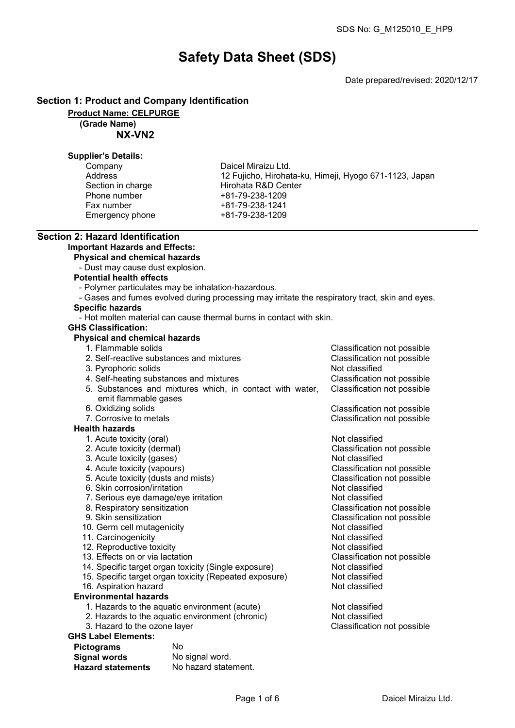Classification not possible

# Safety Data Sheet (SDS)

Date prepared/revised: 2020/12/17

#### Section 1: Product and Company Identification

Product Name: CELPURGE

### (Grade Name)

NX-VN2

#### Supplier's Details:

| Company           |
|-------------------|
| Address           |
| Section in charge |
| Phone number      |
| Fax number        |
| Emergency phone   |

Daicel Miraizu Ltd. 12 Fujicho, Hirohata-ku, Himeji, Hyogo 671-1123, Japan Hirohata R&D Center +81-79-238-1209 Fax number +81-79-238-1241 Emergency phone +81-79-238-1209

# Section 2: Hazard Identification

## Important Hazards and Effects:

Physical and chemical hazards

- Dust may cause dust explosion.

#### Potential health effects

- Polymer particulates may be inhalation-hazardous.
- Gases and fumes evolved during processing may irritate the respiratory tract, skin and eyes.

# Specific hazards

- Hot molten material can cause thermal burns in contact with skin.

#### GHS Classification:

# **Physical and chemical hazards**<br>1. Flammable solids

| 2. Self-reactive substances and mixtures                                         | Classification not possible |
|----------------------------------------------------------------------------------|-----------------------------|
| 3. Pyrophoric solids                                                             | Not classified              |
| 4. Self-heating substances and mixtures                                          | Classification not possible |
| 5. Substances and mixtures which, in contact with water,<br>emit flammable gases | Classification not possible |
| 6. Oxidizing solids                                                              | Classification not possible |
| 7. Corrosive to metals                                                           | Classification not possible |
| <b>Health hazards</b>                                                            |                             |
| 1. Acute toxicity (oral)                                                         | Not classified              |
| 2. Acute toxicity (dermal)                                                       | Classification not possible |
| 3. Acute toxicity (gases)                                                        | Not classified              |
| 4. Acute toxicity (vapours)                                                      | Classification not possible |
| 5. Acute toxicity (dusts and mists)                                              | Classification not possible |
| 6. Skin corrosion/irritation                                                     | Not classified              |
| 7. Serious eye damage/eye irritation                                             | Not classified              |
| 8. Respiratory sensitization                                                     | Classification not possible |
| 9. Skin sensitization                                                            | Classification not possible |
| 10. Germ cell mutagenicity                                                       | Not classified              |
| 11. Carcinogenicity                                                              | Not classified              |
| 12. Reproductive toxicity                                                        | Not classified              |
| 13. Effects on or via lactation                                                  | Classification not possible |

- 14. Specific target organ toxicity (Single exposure) Not classified<br>15. Specific target organ toxicity (Repeated exposure) Not classified 15. Specific target organ toxicity (Repeated exposure) Not classified<br>16. Aspiration hazard
- 16. Aspiration hazard
- Environmental hazards
	- 1. Hazards to the aquatic environment (acute) Not classified
	- 2. Hazards to the aquatic environment (chronic) Not classified<br>3. Hazard to the ozone layer Classification
	-

#### GHS Label Elements:

| <b>Pictograms</b>        | Nο                   |
|--------------------------|----------------------|
| <b>Signal words</b>      | No signal word.      |
| <b>Hazard statements</b> | No hazard statement. |

Classification not possible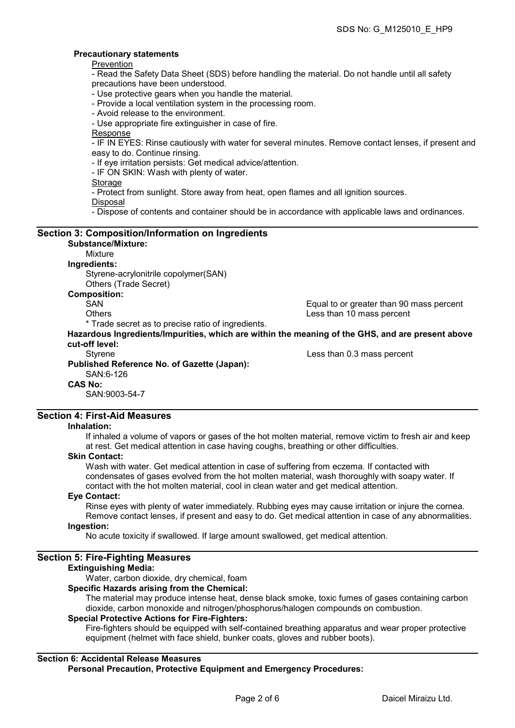#### Precautionary statements

**Prevention** 

- Read the Safety Data Sheet (SDS) before handling the material. Do not handle until all safety precautions have been understood.

- Use protective gears when you handle the material.

- Provide a local ventilation system in the processing room.
- Avoid release to the environment.

- Use appropriate fire extinguisher in case of fire.

Response

- IF IN EYES: Rinse cautiously with water for several minutes. Remove contact lenses, if present and easy to do. Continue rinsing.

- If eye irritation persists: Get medical advice/attention.

- IF ON SKIN: Wash with plenty of water.

#### **Storage**

- Protect from sunlight. Store away from heat, open flames and all ignition sources.

Disposal

- Dispose of contents and container should be in accordance with applicable laws and ordinances.

#### Section 3: Composition/Information on Ingredients Substance/Mixture: Mixture Ingredients: Styrene-acrylonitrile copolymer(SAN) Others (Trade Secret) Composition: SAN GAN Equal to or greater than 90 mass percent<br>Others Charles Channel Less than 10 mass percent Less than 10 mass percent \* Trade secret as to precise ratio of ingredients. Hazardous Ingredients/Impurities, which are within the meaning of the GHS, and are present above cut-off level: Styrene Less than 0.3 mass percent Published Reference No. of Gazette (Japan): SAN:6-126 CAS No: SAN:9003-54-7

## Section 4: First-Aid Measures

#### Inhalation:

If inhaled a volume of vapors or gases of the hot molten material, remove victim to fresh air and keep at rest. Get medical attention in case having coughs, breathing or other difficulties.

#### Skin Contact:

Wash with water. Get medical attention in case of suffering from eczema. If contacted with condensates of gases evolved from the hot molten material, wash thoroughly with soapy water. If contact with the hot molten material, cool in clean water and get medical attention.

#### Eye Contact:

Rinse eyes with plenty of water immediately. Rubbing eyes may cause irritation or injure the cornea. Remove contact lenses, if present and easy to do. Get medical attention in case of any abnormalities.

#### Ingestion:

No acute toxicity if swallowed. If large amount swallowed, get medical attention.

#### Section 5: Fire-Fighting Measures

#### Extinguishing Media:

Water, carbon dioxide, dry chemical, foam

#### Specific Hazards arising from the Chemical:

The material may produce intense heat, dense black smoke, toxic fumes of gases containing carbon dioxide, carbon monoxide and nitrogen/phosphorus/halogen compounds on combustion.

#### Special Protective Actions for Fire-Fighters:

Fire-fighters should be equipped with self-contained breathing apparatus and wear proper protective equipment (helmet with face shield, bunker coats, gloves and rubber boots).

### Section 6: Accidental Release Measures

Personal Precaution, Protective Equipment and Emergency Procedures: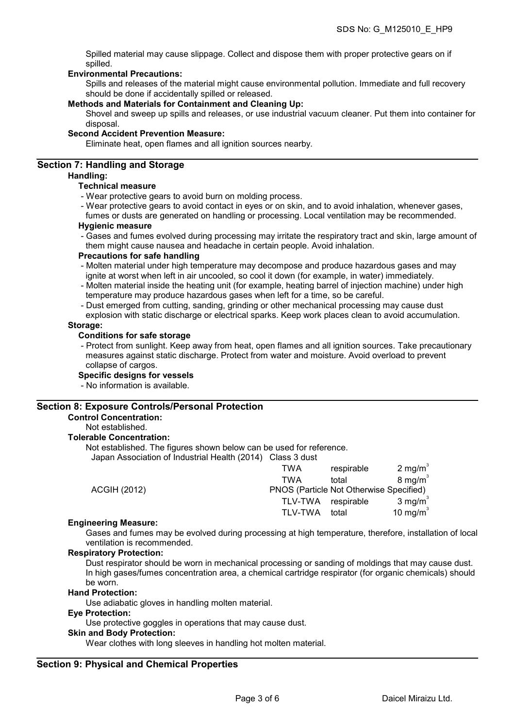Spilled material may cause slippage. Collect and dispose them with proper protective gears on if spilled.

#### Environmental Precautions:

Spills and releases of the material might cause environmental pollution. Immediate and full recovery should be done if accidentally spilled or released.

#### Methods and Materials for Containment and Cleaning Up:

Shovel and sweep up spills and releases, or use industrial vacuum cleaner. Put them into container for disposal.

#### Second Accident Prevention Measure:

Eliminate heat, open flames and all ignition sources nearby.

#### Section 7: Handling and Storage

#### Handling:

#### Technical measure

- Wear protective gears to avoid burn on molding process.
- Wear protective gears to avoid contact in eyes or on skin, and to avoid inhalation, whenever gases,

fumes or dusts are generated on handling or processing. Local ventilation may be recommended. Hygienic measure

- Gases and fumes evolved during processing may irritate the respiratory tract and skin, large amount of them might cause nausea and headache in certain people. Avoid inhalation.

#### Precautions for safe handling

- Molten material under high temperature may decompose and produce hazardous gases and may ignite at worst when left in air uncooled, so cool it down (for example, in water) immediately.
- Molten material inside the heating unit (for example, heating barrel of injection machine) under high temperature may produce hazardous gases when left for a time, so be careful.
- Dust emerged from cutting, sanding, grinding or other mechanical processing may cause dust
- explosion with static discharge or electrical sparks. Keep work places clean to avoid accumulation. Storage:

#### Conditions for safe storage

- Protect from sunlight. Keep away from heat, open flames and all ignition sources. Take precautionary measures against static discharge. Protect from water and moisture. Avoid overload to prevent collapse of cargos.

#### Specific designs for vessels

- No information is available.

#### Section 8: Exposure Controls/Personal Protection

#### Control Concentration:

Not established.

#### Tolerable Concentration:

Not established. The figures shown below can be used for reference.

Japan Association of Industrial Health (2014) Class 3 dust

|                     | TWA                                     | respirable | 2 mg/m $3$         |
|---------------------|-----------------------------------------|------------|--------------------|
|                     | TWA                                     | total      | $8 \text{ mg/m}^3$ |
| <b>ACGIH (2012)</b> | PNOS (Particle Not Otherwise Specified) |            |                    |
|                     | TLV-TWA respirable                      |            | 3 mg/m $3$         |
|                     | <b>TLV-TWA</b>                          | total      | 10 mg/m $3$        |
|                     |                                         |            |                    |

#### Engineering Measure:

Gases and fumes may be evolved during processing at high temperature, therefore, installation of local ventilation is recommended.

#### Respiratory Protection:

Dust respirator should be worn in mechanical processing or sanding of moldings that may cause dust. In high gases/fumes concentration area, a chemical cartridge respirator (for organic chemicals) should be worn.

#### Hand Protection:

Use adiabatic gloves in handling molten material.

#### Eye Protection:

Use protective goggles in operations that may cause dust.

#### Skin and Body Protection:

Wear clothes with long sleeves in handling hot molten material.

#### Section 9: Physical and Chemical Properties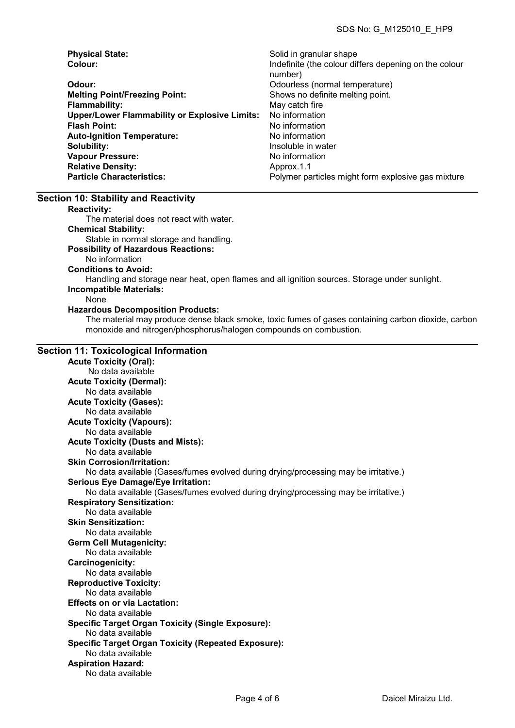| <b>Physical State:</b>                               | Solid in granular shape                               |
|------------------------------------------------------|-------------------------------------------------------|
| Colour:                                              | Indefinite (the colour differs depening on the colour |
|                                                      | number)                                               |
| Odour:                                               | Odourless (normal temperature)                        |
| <b>Melting Point/Freezing Point:</b>                 | Shows no definite melting point.                      |
| <b>Flammability:</b>                                 | May catch fire                                        |
| <b>Upper/Lower Flammability or Explosive Limits:</b> | No information                                        |
| <b>Flash Point:</b>                                  | No information                                        |
| <b>Auto-Ignition Temperature:</b>                    | No information                                        |
| Solubility:                                          | Insoluble in water                                    |
| <b>Vapour Pressure:</b>                              | No information                                        |
| <b>Relative Density:</b>                             | Approx.1.1                                            |
| <b>Particle Characteristics:</b>                     | Polymer particles might form explosive gas mixture    |

#### Section 10: Stability and Reactivity

Reactivity:

The material does not react with water.

Chemical Stability:

Stable in normal storage and handling.

#### Possibility of Hazardous Reactions:

No information

Conditions to Avoid:

Handling and storage near heat, open flames and all ignition sources. Storage under sunlight. Incompatible Materials:

#### None

#### Hazardous Decomposition Products:

The material may produce dense black smoke, toxic fumes of gases containing carbon dioxide, carbon monoxide and nitrogen/phosphorus/halogen compounds on combustion.

#### Section 11: Toxicological Information

Acute Toxicity (Oral): No data available Acute Toxicity (Dermal): No data available Acute Toxicity (Gases): No data available Acute Toxicity (Vapours): No data available Acute Toxicity (Dusts and Mists): No data available Skin Corrosion/Irritation: No data available (Gases/fumes evolved during drying/processing may be irritative.) Serious Eye Damage/Eye Irritation: No data available (Gases/fumes evolved during drying/processing may be irritative.) Respiratory Sensitization: No data available Skin Sensitization: No data available Germ Cell Mutagenicity: No data available Carcinogenicity: No data available Reproductive Toxicity: No data available Effects on or via Lactation: No data available Specific Target Organ Toxicity (Single Exposure): No data available Specific Target Organ Toxicity (Repeated Exposure): No data available Aspiration Hazard: No data available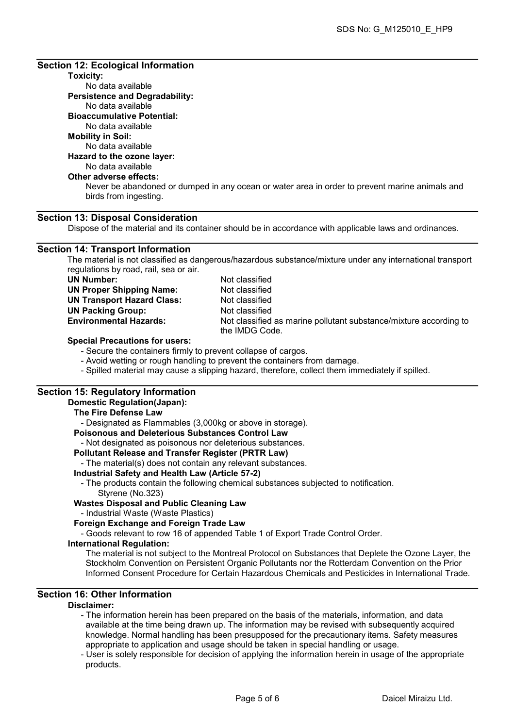#### Section 12: Ecological Information

#### Toxicity:

No data available Persistence and Degradability: No data available Bioaccumulative Potential: No data available

#### Mobility in Soil:

No data available

#### Hazard to the ozone layer:

# No data available

# Other adverse effects:

Never be abandoned or dumped in any ocean or water area in order to prevent marine animals and birds from ingesting.

#### Section 13: Disposal Consideration

Dispose of the material and its container should be in accordance with applicable laws and ordinances.

#### Section 14: Transport Information

The material is not classified as dangerous/hazardous substance/mixture under any international transport regulations by road, rail, sea or air.

| UN Number:                        |
|-----------------------------------|
| <b>UN Proper Shipping Name:</b>   |
| <b>UN Transport Hazard Class:</b> |
| <b>UN Packing Group:</b>          |
| <b>Environmental Hazards:</b>     |

Not classified Not classified Not classified Not classified Not classified as marine pollutant substance/mixture according to the IMDG Code.

#### Special Precautions for users:

- Secure the containers firmly to prevent collapse of cargos.

- Avoid wetting or rough handling to prevent the containers from damage.
- Spilled material may cause a slipping hazard, therefore, collect them immediately if spilled.

#### Section 15: Regulatory Information

#### Domestic Regulation(Japan):

#### The Fire Defense Law

- Designated as Flammables (3,000kg or above in storage).

#### Poisonous and Deleterious Substances Control Law

- Not designated as poisonous nor deleterious substances.

#### Pollutant Release and Transfer Register (PRTR Law)

- The material(s) does not contain any relevant substances.

#### Industrial Safety and Health Law (Article 57-2)

- The products contain the following chemical substances subjected to notification. Styrene (No.323)

# Wastes Disposal and Public Cleaning Law

- Industrial Waste (Waste Plastics)

#### Foreign Exchange and Foreign Trade Law

- Goods relevant to row 16 of appended Table 1 of Export Trade Control Order.

#### International Regulation:

The material is not subject to the Montreal Protocol on Substances that Deplete the Ozone Layer, the Stockholm Convention on Persistent Organic Pollutants nor the Rotterdam Convention on the Prior Informed Consent Procedure for Certain Hazardous Chemicals and Pesticides in International Trade.

# Section 16: Other Information

#### Disclaimer:

- The information herein has been prepared on the basis of the materials, information, and data available at the time being drawn up. The information may be revised with subsequently acquired knowledge. Normal handling has been presupposed for the precautionary items. Safety measures appropriate to application and usage should be taken in special handling or usage.
- User is solely responsible for decision of applying the information herein in usage of the appropriate products.